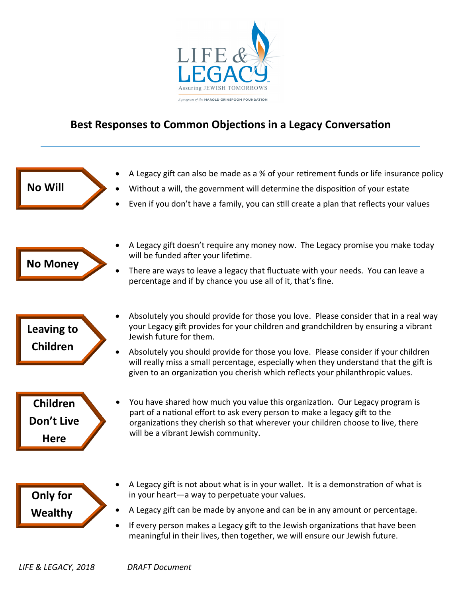

## **Best Responses to Common Objections in a Legacy Conversation**